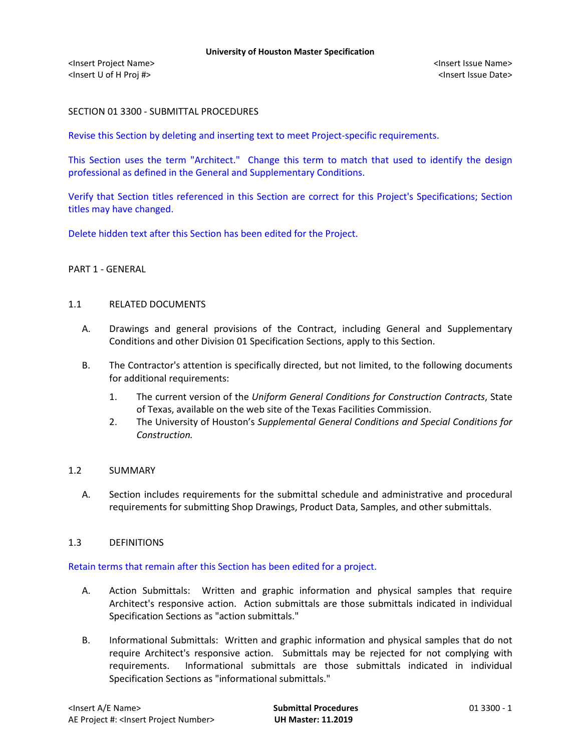# SECTION 01 3300 - SUBMITTAL PROCEDURES

Revise this Section by deleting and inserting text to meet Project-specific requirements.

This Section uses the term "Architect." Change this term to match that used to identify the design professional as defined in the General and Supplementary Conditions.

Verify that Section titles referenced in this Section are correct for this Project's Specifications; Section titles may have changed.

Delete hidden text after this Section has been edited for the Project.

# PART 1 - GENERAL

# 1.1 RELATED DOCUMENTS

- A. Drawings and general provisions of the Contract, including General and Supplementary Conditions and other Division 01 Specification Sections, apply to this Section.
- B. The Contractor's attention is specifically directed, but not limited, to the following documents for additional requirements:
	- 1. The current version of the *Uniform General Conditions for Construction Contracts*, State of Texas, available on the web site of the Texas Facilities Commission.
	- 2. The University of Houston's *Supplemental General Conditions and Special Conditions for Construction.*

# 1.2 SUMMARY

A. Section includes requirements for the submittal schedule and administrative and procedural requirements for submitting Shop Drawings, Product Data, Samples, and other submittals.

# 1.3 DEFINITIONS

# Retain terms that remain after this Section has been edited for a project.

- A. Action Submittals: Written and graphic information and physical samples that require Architect's responsive action. Action submittals are those submittals indicated in individual Specification Sections as "action submittals."
- B. Informational Submittals: Written and graphic information and physical samples that do not require Architect's responsive action. Submittals may be rejected for not complying with requirements. Informational submittals are those submittals indicated in individual Specification Sections as "informational submittals."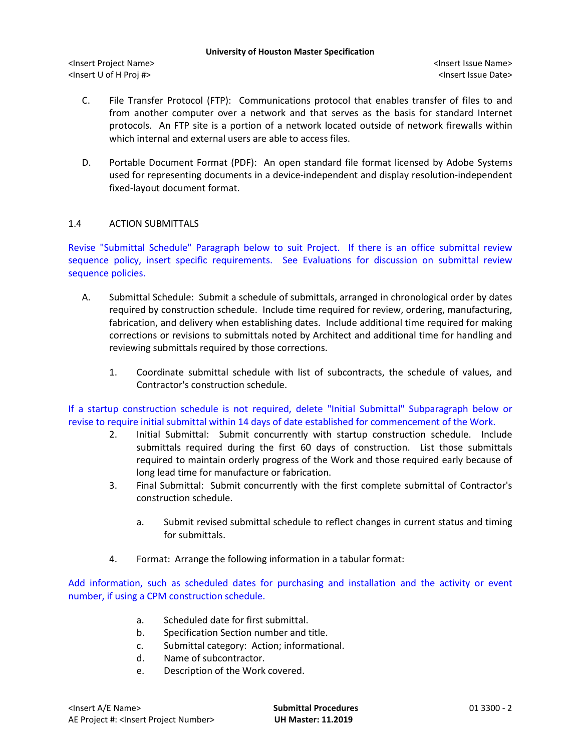<Insert Project Name> <Insert Issue Name> <Insert U of H Proj #> <Insert Issue Date>

- C. File Transfer Protocol (FTP): Communications protocol that enables transfer of files to and from another computer over a network and that serves as the basis for standard Internet protocols. An FTP site is a portion of a network located outside of network firewalls within which internal and external users are able to access files.
- D. Portable Document Format (PDF): An open standard file format licensed by Adobe Systems used for representing documents in a device-independent and display resolution-independent fixed-layout document format.

# 1.4 ACTION SUBMITTALS

Revise "Submittal Schedule" Paragraph below to suit Project. If there is an office submittal review sequence policy, insert specific requirements. See Evaluations for discussion on submittal review sequence policies.

- A. Submittal Schedule: Submit a schedule of submittals, arranged in chronological order by dates required by construction schedule. Include time required for review, ordering, manufacturing, fabrication, and delivery when establishing dates. Include additional time required for making corrections or revisions to submittals noted by Architect and additional time for handling and reviewing submittals required by those corrections.
	- 1. Coordinate submittal schedule with list of subcontracts, the schedule of values, and Contractor's construction schedule.

If a startup construction schedule is not required, delete "Initial Submittal" Subparagraph below or revise to require initial submittal within 14 days of date established for commencement of the Work.

- 2. Initial Submittal: Submit concurrently with startup construction schedule. Include submittals required during the first 60 days of construction. List those submittals required to maintain orderly progress of the Work and those required early because of long lead time for manufacture or fabrication.
- 3. Final Submittal: Submit concurrently with the first complete submittal of Contractor's construction schedule.
	- a. Submit revised submittal schedule to reflect changes in current status and timing for submittals.
- 4. Format: Arrange the following information in a tabular format:

Add information, such as scheduled dates for purchasing and installation and the activity or event number, if using a CPM construction schedule.

- a. Scheduled date for first submittal.
- b. Specification Section number and title.
- c. Submittal category: Action; informational.
- d. Name of subcontractor.
- e. Description of the Work covered.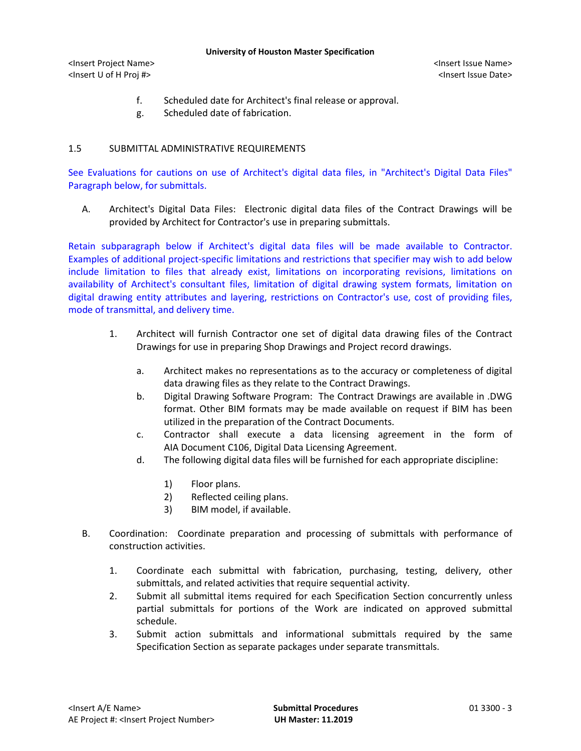<Insert Project Name> <Insert Issue Name> <Insert U of H Proj #> <Insert Issue Date>

- f. Scheduled date for Architect's final release or approval.
- g. Scheduled date of fabrication.

# 1.5 SUBMITTAL ADMINISTRATIVE REQUIREMENTS

See Evaluations for cautions on use of Architect's digital data files, in "Architect's Digital Data Files" Paragraph below, for submittals.

A. Architect's Digital Data Files: Electronic digital data files of the Contract Drawings will be provided by Architect for Contractor's use in preparing submittals.

Retain subparagraph below if Architect's digital data files will be made available to Contractor. Examples of additional project-specific limitations and restrictions that specifier may wish to add below include limitation to files that already exist, limitations on incorporating revisions, limitations on availability of Architect's consultant files, limitation of digital drawing system formats, limitation on digital drawing entity attributes and layering, restrictions on Contractor's use, cost of providing files, mode of transmittal, and delivery time.

- 1. Architect will furnish Contractor one set of digital data drawing files of the Contract Drawings for use in preparing Shop Drawings and Project record drawings.
	- a. Architect makes no representations as to the accuracy or completeness of digital data drawing files as they relate to the Contract Drawings.
	- b. Digital Drawing Software Program: The Contract Drawings are available in .DWG format. Other BIM formats may be made available on request if BIM has been utilized in the preparation of the Contract Documents.
	- c. Contractor shall execute a data licensing agreement in the form of AIA Document C106, Digital Data Licensing Agreement.
	- d. The following digital data files will be furnished for each appropriate discipline:
		- 1) Floor plans.
		- 2) Reflected ceiling plans.
		- 3) BIM model, if available.
- B. Coordination: Coordinate preparation and processing of submittals with performance of construction activities.
	- 1. Coordinate each submittal with fabrication, purchasing, testing, delivery, other submittals, and related activities that require sequential activity.
	- 2. Submit all submittal items required for each Specification Section concurrently unless partial submittals for portions of the Work are indicated on approved submittal schedule.
	- 3. Submit action submittals and informational submittals required by the same Specification Section as separate packages under separate transmittals.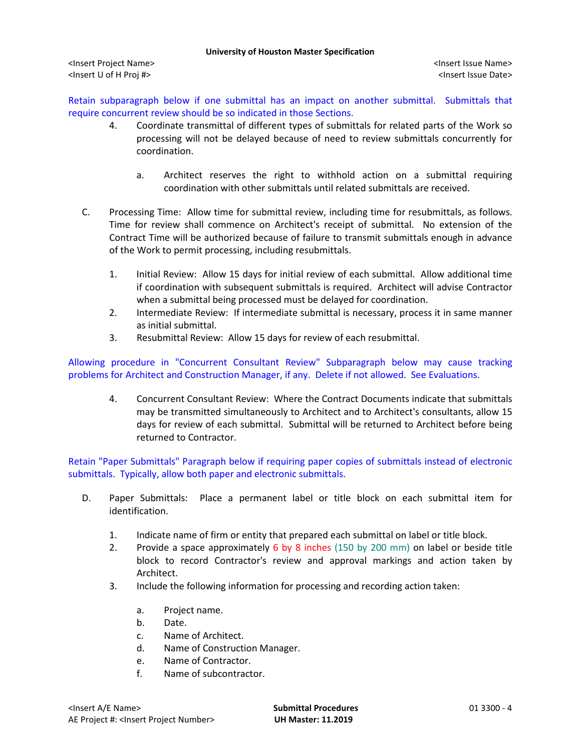<Insert Project Name> <Insert Issue Name> <Insert U of H Proj #> <Insert Issue Date>

Retain subparagraph below if one submittal has an impact on another submittal. Submittals that require concurrent review should be so indicated in those Sections.

- 4. Coordinate transmittal of different types of submittals for related parts of the Work so processing will not be delayed because of need to review submittals concurrently for coordination.
	- a. Architect reserves the right to withhold action on a submittal requiring coordination with other submittals until related submittals are received.
- C. Processing Time: Allow time for submittal review, including time for resubmittals, as follows. Time for review shall commence on Architect's receipt of submittal. No extension of the Contract Time will be authorized because of failure to transmit submittals enough in advance of the Work to permit processing, including resubmittals.
	- 1. Initial Review: Allow 15 days for initial review of each submittal. Allow additional time if coordination with subsequent submittals is required. Architect will advise Contractor when a submittal being processed must be delayed for coordination.
	- 2. Intermediate Review: If intermediate submittal is necessary, process it in same manner as initial submittal.
	- 3. Resubmittal Review: Allow 15 days for review of each resubmittal.

Allowing procedure in "Concurrent Consultant Review" Subparagraph below may cause tracking problems for Architect and Construction Manager, if any. Delete if not allowed. See Evaluations.

4. Concurrent Consultant Review: Where the Contract Documents indicate that submittals may be transmitted simultaneously to Architect and to Architect's consultants, allow 15 days for review of each submittal. Submittal will be returned to Architect before being returned to Contractor.

Retain "Paper Submittals" Paragraph below if requiring paper copies of submittals instead of electronic submittals. Typically, allow both paper and electronic submittals.

- D. Paper Submittals: Place a permanent label or title block on each submittal item for identification.
	- 1. Indicate name of firm or entity that prepared each submittal on label or title block.
	- 2. Provide a space approximately 6 by 8 inches (150 by 200 mm) on label or beside title block to record Contractor's review and approval markings and action taken by Architect.
	- 3. Include the following information for processing and recording action taken:
		- a. Project name.
		- b. Date.
		- c. Name of Architect.
		- d. Name of Construction Manager.
		- e. Name of Contractor.
		- f. Name of subcontractor.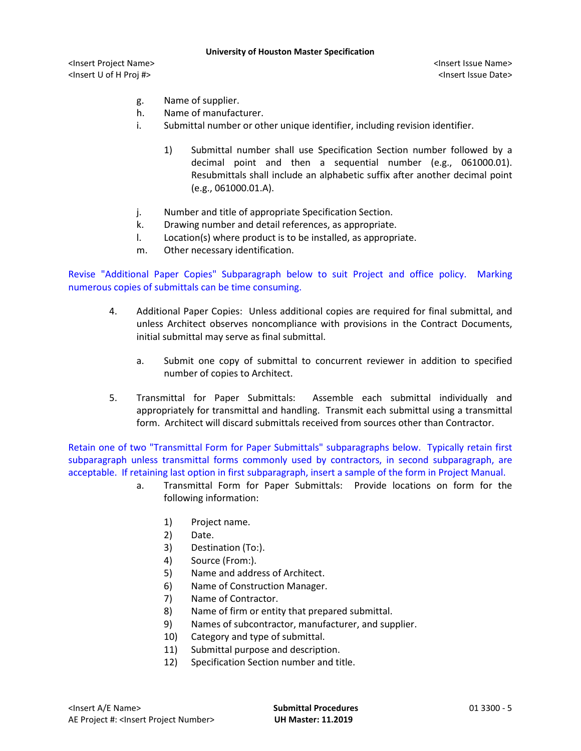<Insert Project Name> <Insert Issue Name> <Insert U of H Proj #> <Insert Issue Date>

- g. Name of supplier.
- h. Name of manufacturer.
- i. Submittal number or other unique identifier, including revision identifier.
	- 1) Submittal number shall use Specification Section number followed by a decimal point and then a sequential number (e.g., 061000.01). Resubmittals shall include an alphabetic suffix after another decimal point (e.g., 061000.01.A).
- j. Number and title of appropriate Specification Section.
- k. Drawing number and detail references, as appropriate.
- l. Location(s) where product is to be installed, as appropriate.
- m. Other necessary identification.

Revise "Additional Paper Copies" Subparagraph below to suit Project and office policy. Marking numerous copies of submittals can be time consuming.

- 4. Additional Paper Copies: Unless additional copies are required for final submittal, and unless Architect observes noncompliance with provisions in the Contract Documents, initial submittal may serve as final submittal.
	- a. Submit one copy of submittal to concurrent reviewer in addition to specified number of copies to Architect.
- 5. Transmittal for Paper Submittals: Assemble each submittal individually and appropriately for transmittal and handling. Transmit each submittal using a transmittal form. Architect will discard submittals received from sources other than Contractor.

Retain one of two "Transmittal Form for Paper Submittals" subparagraphs below. Typically retain first subparagraph unless transmittal forms commonly used by contractors, in second subparagraph, are acceptable. If retaining last option in first subparagraph, insert a sample of the form in Project Manual.

- a. Transmittal Form for Paper Submittals: Provide locations on form for the following information:
	- 1) Project name.
	- 2) Date.
	- 3) Destination (To:).
	- 4) Source (From:).
	- 5) Name and address of Architect.
	- 6) Name of Construction Manager.
	- 7) Name of Contractor.
	- 8) Name of firm or entity that prepared submittal.
	- 9) Names of subcontractor, manufacturer, and supplier.
	- 10) Category and type of submittal.
	- 11) Submittal purpose and description.
	- 12) Specification Section number and title.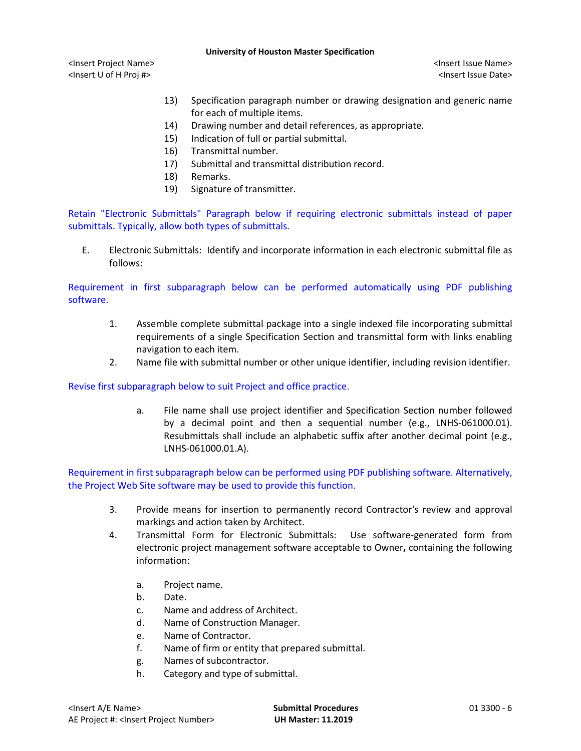<Insert Project Name> <Insert Issue Name> <Insert U of H Proj #> <Insert Issue Date>

- 13) Specification paragraph number or drawing designation and generic name for each of multiple items.
- 14) Drawing number and detail references, as appropriate.
- 15) Indication of full or partial submittal.
- 16) Transmittal number.
- 17) Submittal and transmittal distribution record.
- 18) Remarks.
- 19) Signature of transmitter.

Retain "Electronic Submittals" Paragraph below if requiring electronic submittals instead of paper submittals. Typically, allow both types of submittals.

E. Electronic Submittals: Identify and incorporate information in each electronic submittal file as follows:

Requirement in first subparagraph below can be performed automatically using PDF publishing software.

- 1. Assemble complete submittal package into a single indexed file incorporating submittal requirements of a single Specification Section and transmittal form with links enabling navigation to each item.
- 2. Name file with submittal number or other unique identifier, including revision identifier.

Revise first subparagraph below to suit Project and office practice.

a. File name shall use project identifier and Specification Section number followed by a decimal point and then a sequential number (e.g., LNHS-061000.01). Resubmittals shall include an alphabetic suffix after another decimal point (e.g., LNHS-061000.01.A).

Requirement in first subparagraph below can be performed using PDF publishing software. Alternatively, the Project Web Site software may be used to provide this function.

- 3. Provide means for insertion to permanently record Contractor's review and approval markings and action taken by Architect.
- 4. Transmittal Form for Electronic Submittals: Use software-generated form from electronic project management software acceptable to Owner**,** containing the following information:
	- a. Project name.
	- b. Date.
	- c. Name and address of Architect.
	- d. Name of Construction Manager.
	- e. Name of Contractor.
	- f. Name of firm or entity that prepared submittal.
	- g. Names of subcontractor.
	- h. Category and type of submittal.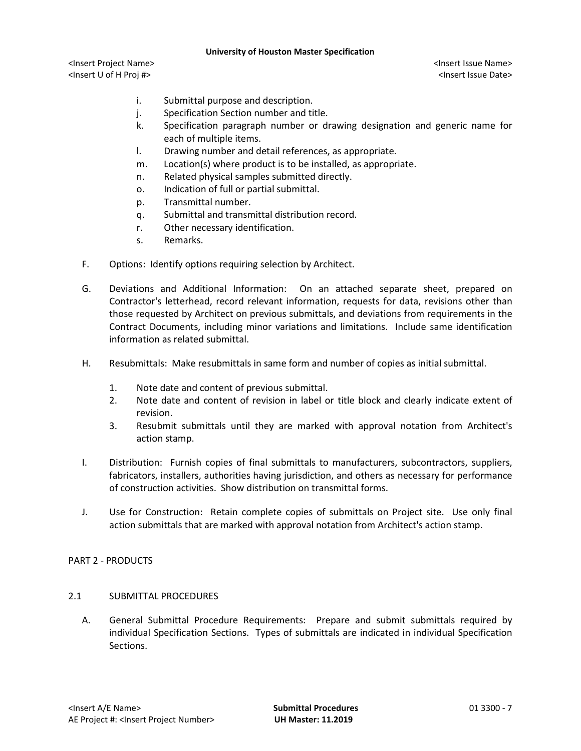<Insert Project Name> <Insert Issue Name> <Insert U of H Proj #> <Insert Issue Date>

- i. Submittal purpose and description.
- j. Specification Section number and title.
- k. Specification paragraph number or drawing designation and generic name for each of multiple items.
- l. Drawing number and detail references, as appropriate.
- m. Location(s) where product is to be installed, as appropriate.
- n. Related physical samples submitted directly.
- o. Indication of full or partial submittal.
- p. Transmittal number.
- q. Submittal and transmittal distribution record.
- r. Other necessary identification.
- s. Remarks.
- F. Options: Identify options requiring selection by Architect.
- G. Deviations and Additional Information: On an attached separate sheet, prepared on Contractor's letterhead, record relevant information, requests for data, revisions other than those requested by Architect on previous submittals, and deviations from requirements in the Contract Documents, including minor variations and limitations. Include same identification information as related submittal.
- H. Resubmittals: Make resubmittals in same form and number of copies as initial submittal.
	- 1. Note date and content of previous submittal.
	- 2. Note date and content of revision in label or title block and clearly indicate extent of revision.
	- 3. Resubmit submittals until they are marked with approval notation from Architect's action stamp.
- I. Distribution: Furnish copies of final submittals to manufacturers, subcontractors, suppliers, fabricators, installers, authorities having jurisdiction, and others as necessary for performance of construction activities. Show distribution on transmittal forms.
- J. Use for Construction: Retain complete copies of submittals on Project site. Use only final action submittals that are marked with approval notation from Architect's action stamp.

# PART 2 - PRODUCTS

# 2.1 SUBMITTAL PROCEDURES

A. General Submittal Procedure Requirements: Prepare and submit submittals required by individual Specification Sections. Types of submittals are indicated in individual Specification Sections.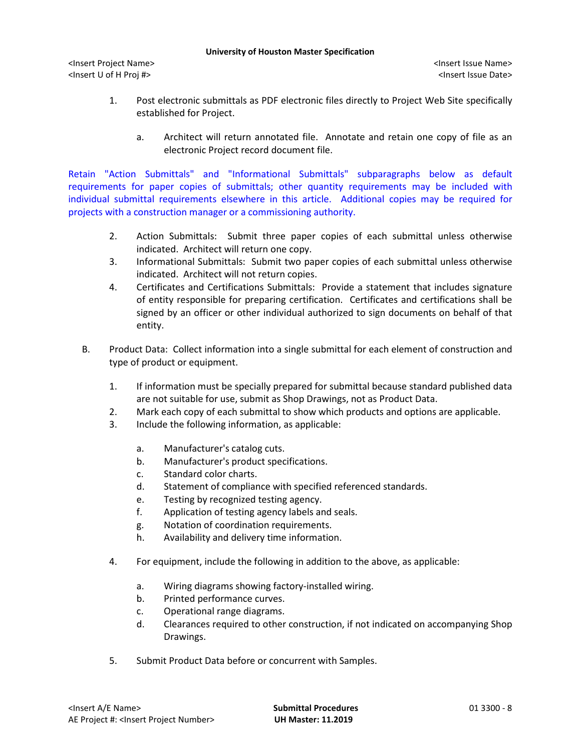<Insert Project Name> <Insert Issue Name> <Insert U of H Proj #> <Insert Issue Date>

- 1. Post electronic submittals as PDF electronic files directly to Project Web Site specifically established for Project.
	- a. Architect will return annotated file. Annotate and retain one copy of file as an electronic Project record document file.

Retain "Action Submittals" and "Informational Submittals" subparagraphs below as default requirements for paper copies of submittals; other quantity requirements may be included with individual submittal requirements elsewhere in this article. Additional copies may be required for projects with a construction manager or a commissioning authority.

- 2. Action Submittals: Submit three paper copies of each submittal unless otherwise indicated. Architect will return one copy.
- 3. Informational Submittals: Submit two paper copies of each submittal unless otherwise indicated. Architect will not return copies.
- 4. Certificates and Certifications Submittals: Provide a statement that includes signature of entity responsible for preparing certification. Certificates and certifications shall be signed by an officer or other individual authorized to sign documents on behalf of that entity.
- B. Product Data: Collect information into a single submittal for each element of construction and type of product or equipment.
	- 1. If information must be specially prepared for submittal because standard published data are not suitable for use, submit as Shop Drawings, not as Product Data.
	- 2. Mark each copy of each submittal to show which products and options are applicable.
	- 3. Include the following information, as applicable:
		- a. Manufacturer's catalog cuts.
		- b. Manufacturer's product specifications.
		- c. Standard color charts.
		- d. Statement of compliance with specified referenced standards.
		- e. Testing by recognized testing agency.
		- f. Application of testing agency labels and seals.
		- g. Notation of coordination requirements.
		- h. Availability and delivery time information.
	- 4. For equipment, include the following in addition to the above, as applicable:
		- a. Wiring diagrams showing factory-installed wiring.
		- b. Printed performance curves.
		- c. Operational range diagrams.
		- d. Clearances required to other construction, if not indicated on accompanying Shop Drawings.
	- 5. Submit Product Data before or concurrent with Samples.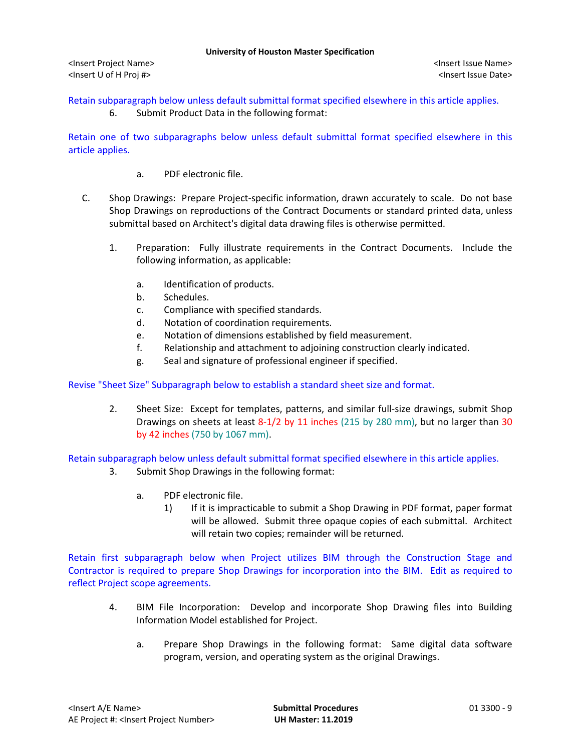Retain subparagraph below unless default submittal format specified elsewhere in this article applies.

6. Submit Product Data in the following format:

Retain one of two subparagraphs below unless default submittal format specified elsewhere in this article applies.

- a. PDF electronic file.
- C. Shop Drawings: Prepare Project-specific information, drawn accurately to scale. Do not base Shop Drawings on reproductions of the Contract Documents or standard printed data, unless submittal based on Architect's digital data drawing files is otherwise permitted.
	- 1. Preparation: Fully illustrate requirements in the Contract Documents. Include the following information, as applicable:
		- a. Identification of products.
		- b. Schedules.
		- c. Compliance with specified standards.
		- d. Notation of coordination requirements.
		- e. Notation of dimensions established by field measurement.
		- f. Relationship and attachment to adjoining construction clearly indicated.
		- g. Seal and signature of professional engineer if specified.

Revise "Sheet Size" Subparagraph below to establish a standard sheet size and format.

2. Sheet Size: Except for templates, patterns, and similar full-size drawings, submit Shop Drawings on sheets at least 8-1/2 by 11 inches (215 by 280 mm), but no larger than 30 by 42 inches (750 by 1067 mm).

Retain subparagraph below unless default submittal format specified elsewhere in this article applies.

- 3. Submit Shop Drawings in the following format:
	- a. PDF electronic file.
		- 1) If it is impracticable to submit a Shop Drawing in PDF format, paper format will be allowed. Submit three opaque copies of each submittal. Architect will retain two copies; remainder will be returned.

Retain first subparagraph below when Project utilizes BIM through the Construction Stage and Contractor is required to prepare Shop Drawings for incorporation into the BIM. Edit as required to reflect Project scope agreements.

- 4. BIM File Incorporation: Develop and incorporate Shop Drawing files into Building Information Model established for Project.
	- a. Prepare Shop Drawings in the following format: Same digital data software program, version, and operating system as the original Drawings.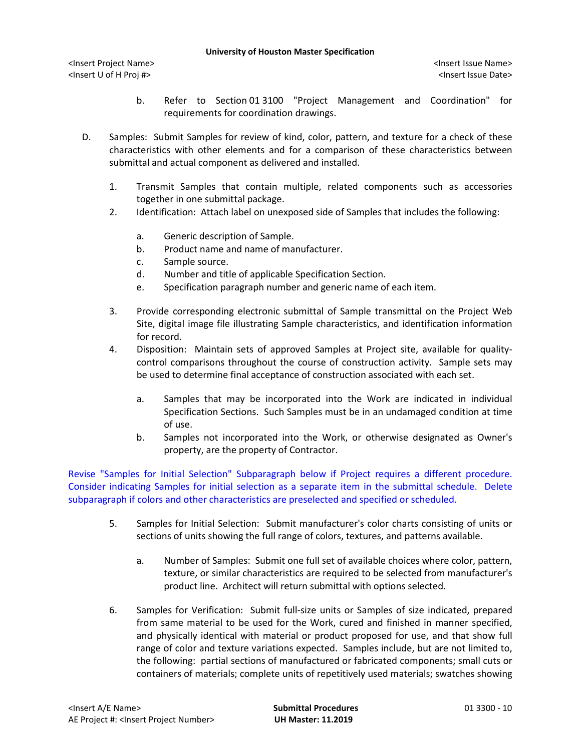<Insert Project Name> <Insert Issue Name> <Insert U of H Proj #> <Insert Issue Date>

- b. Refer to Section 01 3100 "Project Management and Coordination" for requirements for coordination drawings.
- D. Samples: Submit Samples for review of kind, color, pattern, and texture for a check of these characteristics with other elements and for a comparison of these characteristics between submittal and actual component as delivered and installed.
	- 1. Transmit Samples that contain multiple, related components such as accessories together in one submittal package.
	- 2. Identification: Attach label on unexposed side of Samples that includes the following:
		- a. Generic description of Sample.
		- b. Product name and name of manufacturer.
		- c. Sample source.
		- d. Number and title of applicable Specification Section.
		- e. Specification paragraph number and generic name of each item.
	- 3. Provide corresponding electronic submittal of Sample transmittal on the Project Web Site, digital image file illustrating Sample characteristics, and identification information for record.
	- 4. Disposition: Maintain sets of approved Samples at Project site, available for qualitycontrol comparisons throughout the course of construction activity. Sample sets may be used to determine final acceptance of construction associated with each set.
		- a. Samples that may be incorporated into the Work are indicated in individual Specification Sections. Such Samples must be in an undamaged condition at time of use.
		- b. Samples not incorporated into the Work, or otherwise designated as Owner's property, are the property of Contractor.

Revise "Samples for Initial Selection" Subparagraph below if Project requires a different procedure. Consider indicating Samples for initial selection as a separate item in the submittal schedule. Delete subparagraph if colors and other characteristics are preselected and specified or scheduled.

- 5. Samples for Initial Selection: Submit manufacturer's color charts consisting of units or sections of units showing the full range of colors, textures, and patterns available.
	- a. Number of Samples: Submit one full set of available choices where color, pattern, texture, or similar characteristics are required to be selected from manufacturer's product line. Architect will return submittal with options selected.
- 6. Samples for Verification: Submit full-size units or Samples of size indicated, prepared from same material to be used for the Work, cured and finished in manner specified, and physically identical with material or product proposed for use, and that show full range of color and texture variations expected. Samples include, but are not limited to, the following: partial sections of manufactured or fabricated components; small cuts or containers of materials; complete units of repetitively used materials; swatches showing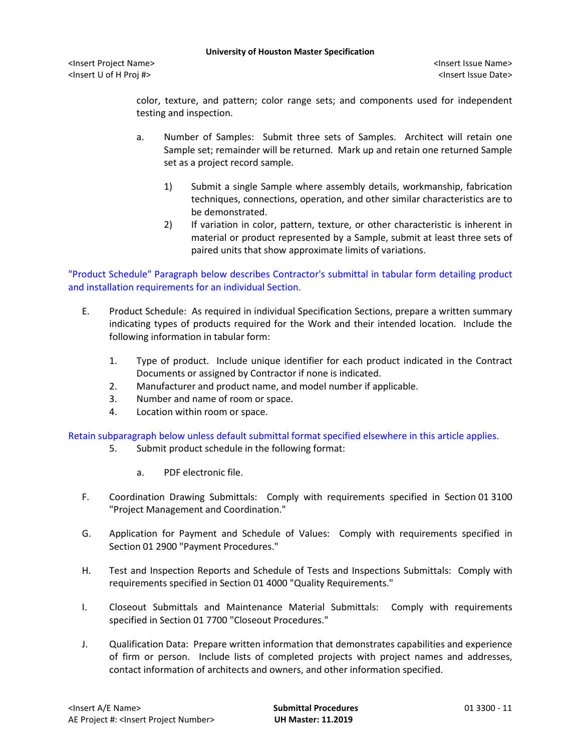<Insert Project Name> <Insert Issue Name> <Insert U of H Proj #> <Insert Issue Date>

color, texture, and pattern; color range sets; and components used for independent testing and inspection.

- a. Number of Samples: Submit three sets of Samples. Architect will retain one Sample set; remainder will be returned. Mark up and retain one returned Sample set as a project record sample.
	- 1) Submit a single Sample where assembly details, workmanship, fabrication techniques, connections, operation, and other similar characteristics are to be demonstrated.
	- 2) If variation in color, pattern, texture, or other characteristic is inherent in material or product represented by a Sample, submit at least three sets of paired units that show approximate limits of variations.

"Product Schedule" Paragraph below describes Contractor's submittal in tabular form detailing product and installation requirements for an individual Section.

- E. Product Schedule: As required in individual Specification Sections, prepare a written summary indicating types of products required for the Work and their intended location. Include the following information in tabular form:
	- 1. Type of product. Include unique identifier for each product indicated in the Contract Documents or assigned by Contractor if none is indicated.
	- 2. Manufacturer and product name, and model number if applicable.
	- 3. Number and name of room or space.
	- 4. Location within room or space.

Retain subparagraph below unless default submittal format specified elsewhere in this article applies.

- 5. Submit product schedule in the following format:
	- a. PDF electronic file.
- F. Coordination Drawing Submittals: Comply with requirements specified in Section 01 3100 "Project Management and Coordination."
- G. Application for Payment and Schedule of Values: Comply with requirements specified in Section 01 2900 "Payment Procedures."
- H. Test and Inspection Reports and Schedule of Tests and Inspections Submittals: Comply with requirements specified in Section 01 4000 "Quality Requirements."
- I. Closeout Submittals and Maintenance Material Submittals: Comply with requirements specified in Section 01 7700 "Closeout Procedures."
- J. Qualification Data: Prepare written information that demonstrates capabilities and experience of firm or person. Include lists of completed projects with project names and addresses, contact information of architects and owners, and other information specified.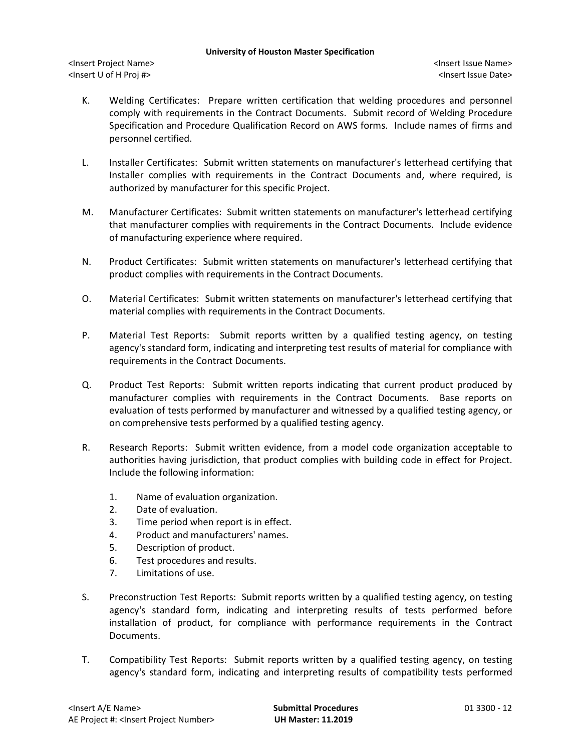<Insert Project Name> <Insert Issue Name> <Insert U of H Proj #> <Insert Issue Date>

- K. Welding Certificates: Prepare written certification that welding procedures and personnel comply with requirements in the Contract Documents. Submit record of Welding Procedure Specification and Procedure Qualification Record on AWS forms. Include names of firms and personnel certified.
- L. Installer Certificates: Submit written statements on manufacturer's letterhead certifying that Installer complies with requirements in the Contract Documents and, where required, is authorized by manufacturer for this specific Project.
- M. Manufacturer Certificates: Submit written statements on manufacturer's letterhead certifying that manufacturer complies with requirements in the Contract Documents. Include evidence of manufacturing experience where required.
- N. Product Certificates: Submit written statements on manufacturer's letterhead certifying that product complies with requirements in the Contract Documents.
- O. Material Certificates: Submit written statements on manufacturer's letterhead certifying that material complies with requirements in the Contract Documents.
- P. Material Test Reports: Submit reports written by a qualified testing agency, on testing agency's standard form, indicating and interpreting test results of material for compliance with requirements in the Contract Documents.
- Q. Product Test Reports: Submit written reports indicating that current product produced by manufacturer complies with requirements in the Contract Documents. Base reports on evaluation of tests performed by manufacturer and witnessed by a qualified testing agency, or on comprehensive tests performed by a qualified testing agency.
- R. Research Reports: Submit written evidence, from a model code organization acceptable to authorities having jurisdiction, that product complies with building code in effect for Project. Include the following information:
	- 1. Name of evaluation organization.
	- 2. Date of evaluation.
	- 3. Time period when report is in effect.
	- 4. Product and manufacturers' names.
	- 5. Description of product.
	- 6. Test procedures and results.
	- 7. Limitations of use.
- S. Preconstruction Test Reports: Submit reports written by a qualified testing agency, on testing agency's standard form, indicating and interpreting results of tests performed before installation of product, for compliance with performance requirements in the Contract Documents.
- T. Compatibility Test Reports: Submit reports written by a qualified testing agency, on testing agency's standard form, indicating and interpreting results of compatibility tests performed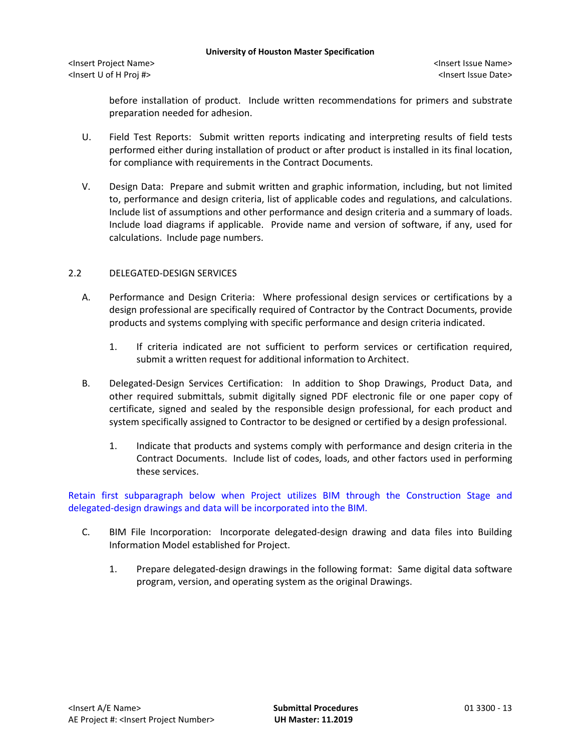before installation of product. Include written recommendations for primers and substrate preparation needed for adhesion.

- U. Field Test Reports: Submit written reports indicating and interpreting results of field tests performed either during installation of product or after product is installed in its final location, for compliance with requirements in the Contract Documents.
- V. Design Data: Prepare and submit written and graphic information, including, but not limited to, performance and design criteria, list of applicable codes and regulations, and calculations. Include list of assumptions and other performance and design criteria and a summary of loads. Include load diagrams if applicable. Provide name and version of software, if any, used for calculations. Include page numbers.

# 2.2 DELEGATED-DESIGN SERVICES

- A. Performance and Design Criteria: Where professional design services or certifications by a design professional are specifically required of Contractor by the Contract Documents, provide products and systems complying with specific performance and design criteria indicated.
	- 1. If criteria indicated are not sufficient to perform services or certification required, submit a written request for additional information to Architect.
- B. Delegated-Design Services Certification: In addition to Shop Drawings, Product Data, and other required submittals, submit digitally signed PDF electronic file or one paper copy of certificate, signed and sealed by the responsible design professional, for each product and system specifically assigned to Contractor to be designed or certified by a design professional.
	- 1. Indicate that products and systems comply with performance and design criteria in the Contract Documents. Include list of codes, loads, and other factors used in performing these services.

Retain first subparagraph below when Project utilizes BIM through the Construction Stage and delegated-design drawings and data will be incorporated into the BIM.

- C. BIM File Incorporation: Incorporate delegated-design drawing and data files into Building Information Model established for Project.
	- 1. Prepare delegated-design drawings in the following format: Same digital data software program, version, and operating system as the original Drawings.